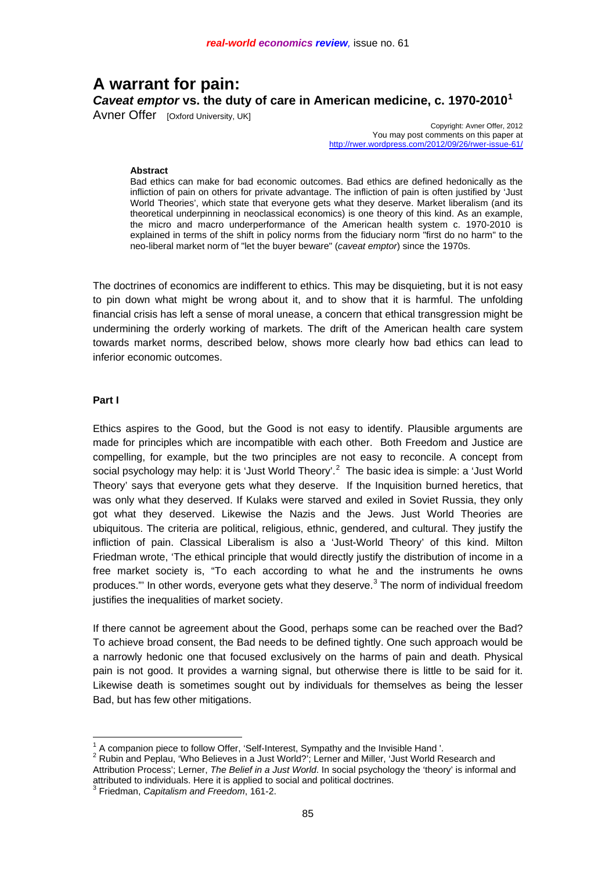# **A warrant for pain:** *Caveat emptor* **vs. the duty of care in American medicine, c. 1970-2010[1](#page-0-0)**

Avner Offer [Oxford University, UK]

Copyright: Avner Offer, 2012 You may post comments on this paper at http://rwer.wordpress.com/2012/09/26/rwer-issue-61/

#### **Abstract**

Bad ethics can make for bad economic outcomes. Bad ethics are defined hedonically as the infliction of pain on others for private advantage. The infliction of pain is often justified by 'Just World Theories', which state that everyone gets what they deserve. Market liberalism (and its theoretical underpinning in neoclassical economics) is one theory of this kind. As an example, the micro and macro underperformance of the American health system c. 1970-2010 is explained in terms of the shift in policy norms from the fiduciary norm "first do no harm" to the neo-liberal market norm of "let the buyer beware" (*caveat emptor*) since the 1970s.

The doctrines of economics are indifferent to ethics. This may be disquieting, but it is not easy to pin down what might be wrong about it, and to show that it is harmful. The unfolding financial crisis has left a sense of moral unease, a concern that ethical transgression might be undermining the orderly working of markets. The drift of the American health care system towards market norms, described below, shows more clearly how bad ethics can lead to inferior economic outcomes.

#### **Part I**

Ethics aspires to the Good, but the Good is not easy to identify. Plausible arguments are made for principles which are incompatible with each other. Both Freedom and Justice are compelling, for example, but the two principles are not easy to reconcile. A concept from social psychology may help: it is 'Just World Theory'.<sup>[2](#page-0-1)</sup> The basic idea is simple: a 'Just World Theory' says that everyone gets what they deserve. If the Inquisition burned heretics, that was only what they deserved. If Kulaks were starved and exiled in Soviet Russia, they only got what they deserved. Likewise the Nazis and the Jews. Just World Theories are ubiquitous. The criteria are political, religious, ethnic, gendered, and cultural. They justify the infliction of pain. Classical Liberalism is also a 'Just-World Theory' of this kind. Milton Friedman wrote, 'The ethical principle that would directly justify the distribution of income in a free market society is, "To each according to what he and the instruments he owns produces." In other words, everyone gets what they deserve. $3$  The norm of individual freedom justifies the inequalities of market society.

If there cannot be agreement about the Good, perhaps some can be reached over the Bad? To achieve broad consent, the Bad needs to be defined tightly. One such approach would be a narrowly hedonic one that focused exclusively on the harms of pain and death. Physical pain is not good. It provides a warning signal, but otherwise there is little to be said for it. Likewise death is sometimes sought out by individuals for themselves as being the lesser Bad, but has few other mitigations.

<span id="page-0-1"></span><span id="page-0-0"></span><sup>&</sup>lt;sup>1</sup> A companion piece to follow Offer, 'Self-Interest, Sympathy and the Invisible Hand '.<br><sup>2</sup> Rubin and Peplau, 'Who Believes in a Just World?'; Lerner and Miller, 'Just World Research and Attribution Process'; Lerner, *The Belief in a Just World*. In social psychology the 'theory' is informal and attributed to individuals. Here it is applied to social and political doctrines. 3 Friedman, *Capitalism and Freedom*, 161-2.

<span id="page-0-2"></span>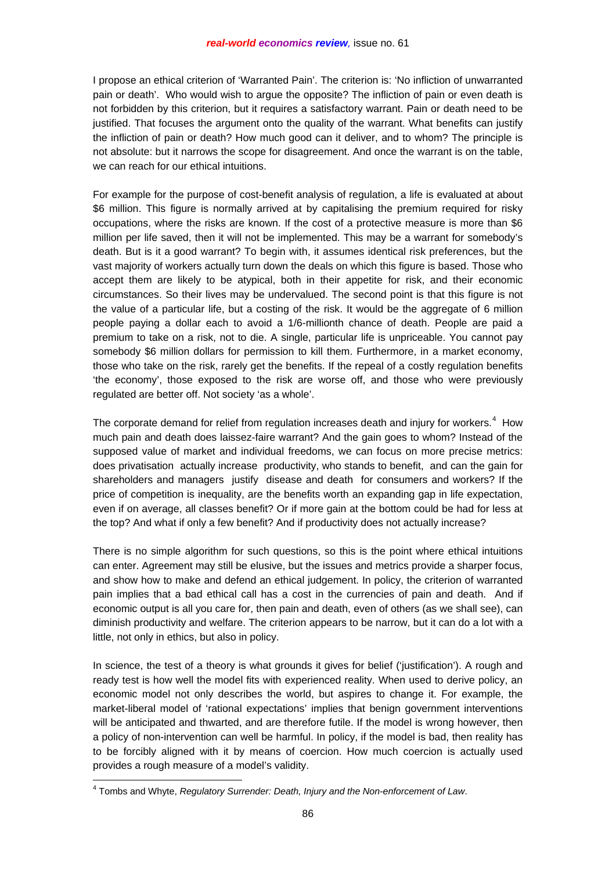I propose an ethical criterion of 'Warranted Pain'. The criterion is: 'No infliction of unwarranted pain or death'. Who would wish to argue the opposite? The infliction of pain or even death is not forbidden by this criterion, but it requires a satisfactory warrant. Pain or death need to be justified. That focuses the argument onto the quality of the warrant. What benefits can justify the infliction of pain or death? How much good can it deliver, and to whom? The principle is not absolute: but it narrows the scope for disagreement. And once the warrant is on the table, we can reach for our ethical intuitions.

For example for the purpose of cost-benefit analysis of regulation, a life is evaluated at about \$6 million. This figure is normally arrived at by capitalising the premium required for risky occupations, where the risks are known. If the cost of a protective measure is more than \$6 million per life saved, then it will not be implemented. This may be a warrant for somebody's death. But is it a good warrant? To begin with, it assumes identical risk preferences, but the vast majority of workers actually turn down the deals on which this figure is based. Those who accept them are likely to be atypical, both in their appetite for risk, and their economic circumstances. So their lives may be undervalued. The second point is that this figure is not the value of a particular life, but a costing of the risk. It would be the aggregate of 6 million people paying a dollar each to avoid a 1/6-millionth chance of death. People are paid a premium to take on a risk, not to die. A single, particular life is unpriceable. You cannot pay somebody \$6 million dollars for permission to kill them. Furthermore, in a market economy, those who take on the risk, rarely get the benefits. If the repeal of a costly regulation benefits 'the economy', those exposed to the risk are worse off, and those who were previously regulated are better off. Not society 'as a whole'.

The corporate demand for relief from regulation increases death and injury for workers.<sup>[4](#page-1-0)</sup> How much pain and death does laissez-faire warrant? And the gain goes to whom? Instead of the supposed value of market and individual freedoms, we can focus on more precise metrics: does privatisation actually increase productivity, who stands to benefit, and can the gain for shareholders and managers justify disease and death for consumers and workers? If the price of competition is inequality, are the benefits worth an expanding gap in life expectation, even if on average, all classes benefit? Or if more gain at the bottom could be had for less at the top? And what if only a few benefit? And if productivity does not actually increase?

There is no simple algorithm for such questions, so this is the point where ethical intuitions can enter. Agreement may still be elusive, but the issues and metrics provide a sharper focus, and show how to make and defend an ethical judgement. In policy, the criterion of warranted pain implies that a bad ethical call has a cost in the currencies of pain and death. And if economic output is all you care for, then pain and death, even of others (as we shall see), can diminish productivity and welfare. The criterion appears to be narrow, but it can do a lot with a little, not only in ethics, but also in policy.

In science, the test of a theory is what grounds it gives for belief ('justification'). A rough and ready test is how well the model fits with experienced reality. When used to derive policy, an economic model not only describes the world, but aspires to change it. For example, the market-liberal model of 'rational expectations' implies that benign government interventions will be anticipated and thwarted, and are therefore futile. If the model is wrong however, then a policy of non-intervention can well be harmful. In policy, if the model is bad, then reality has to be forcibly aligned with it by means of coercion. How much coercion is actually used provides a rough measure of a model's validity.

<span id="page-1-0"></span><sup>4</sup> Tombs and Whyte, *Regulatory Surrender: Death, Injury and the Non-enforcement of Law*.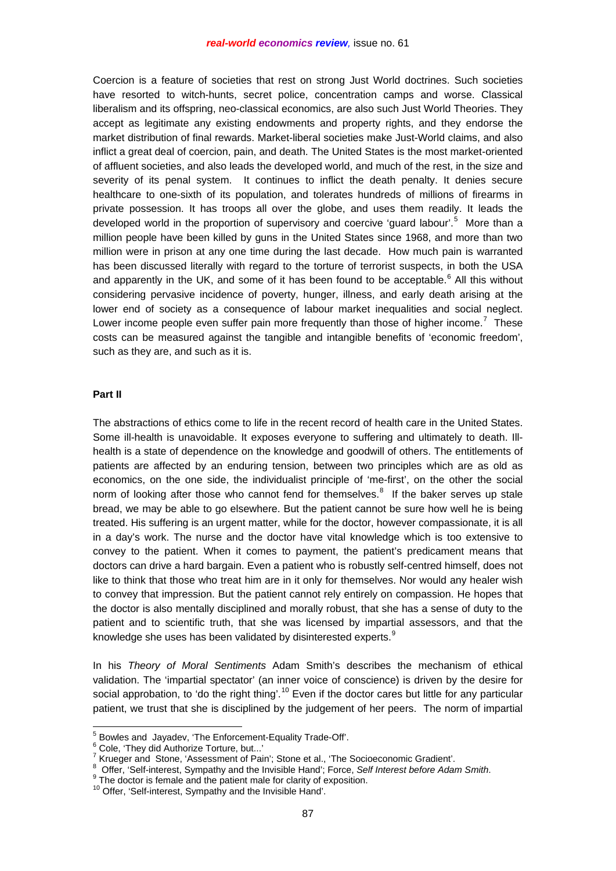Coercion is a feature of societies that rest on strong Just World doctrines. Such societies have resorted to witch-hunts, secret police, concentration camps and worse. Classical liberalism and its offspring, neo-classical economics, are also such Just World Theories. They accept as legitimate any existing endowments and property rights, and they endorse the market distribution of final rewards. Market-liberal societies make Just-World claims, and also inflict a great deal of coercion, pain, and death. The United States is the most market-oriented of affluent societies, and also leads the developed world, and much of the rest, in the size and severity of its penal system. It continues to inflict the death penalty. It denies secure healthcare to one-sixth of its population, and tolerates hundreds of millions of firearms in private possession. It has troops all over the globe, and uses them readily. It leads the developed world in the proportion of supervisory and coercive 'guard labour'.<sup>[5](#page-2-0)</sup> More than a million people have been killed by guns in the United States since 1968, and more than two million were in prison at any one time during the last decade. How much pain is warranted has been discussed literally with regard to the torture of terrorist suspects, in both the USA and apparently in the UK, and some of it has been found to be acceptable. $<sup>6</sup>$  $<sup>6</sup>$  $<sup>6</sup>$  All this without</sup> considering pervasive incidence of poverty, hunger, illness, and early death arising at the lower end of society as a consequence of labour market inequalities and social neglect. Lower income people even suffer pain more frequently than those of higher income.<sup>[7](#page-2-2)</sup> These costs can be measured against the tangible and intangible benefits of 'economic freedom', such as they are, and such as it is.

#### **Part II**

The abstractions of ethics come to life in the recent record of health care in the United States. Some ill-health is unavoidable. It exposes everyone to suffering and ultimately to death. Illhealth is a state of dependence on the knowledge and goodwill of others. The entitlements of patients are affected by an enduring tension, between two principles which are as old as economics, on the one side, the individualist principle of 'me-first', on the other the social norm of looking after those who cannot fend for themselves.<sup>[8](#page-2-3)</sup> If the baker serves up stale bread, we may be able to go elsewhere. But the patient cannot be sure how well he is being treated. His suffering is an urgent matter, while for the doctor, however compassionate, it is all in a day's work. The nurse and the doctor have vital knowledge which is too extensive to convey to the patient. When it comes to payment, the patient's predicament means that doctors can drive a hard bargain. Even a patient who is robustly self-centred himself, does not like to think that those who treat him are in it only for themselves. Nor would any healer wish to convey that impression. But the patient cannot rely entirely on compassion. He hopes that the doctor is also mentally disciplined and morally robust, that she has a sense of duty to the patient and to scientific truth, that she was licensed by impartial assessors, and that the knowledge she uses has been validated by disinterested experts.<sup>[9](#page-2-4)</sup>

In his *Theory of Moral Sentiments* Adam Smith's describes the mechanism of ethical validation. The 'impartial spectator' (an inner voice of conscience) is driven by the desire for social approbation, to 'do the right thing'.<sup>[10](#page-2-5)</sup> Even if the doctor cares but little for any particular patient, we trust that she is disciplined by the judgement of her peers. The norm of impartial

<span id="page-2-2"></span><span id="page-2-1"></span>

<span id="page-2-0"></span><sup>&</sup>lt;sup>5</sup> Bowles and Jayadev, 'The Enforcement-Equality Trade-Off'.<br>
<sup>6</sup> Cole, 'They did Authorize Torture, but...'<br>
<sup>7</sup> Krueger and Stone, 'Assessment of Pain'; Stone et al., 'The Socioeconomic Gradient'.

<span id="page-2-3"></span><sup>&</sup>lt;sup>8</sup> Offer, 'Self-interest, Sympathy and the Invisible Hand'; Force, Self Interest before Adam Smith.<br><sup>9</sup> The doctor is female and the patient male for clarity of exposition.<br><sup>10</sup> Offer, 'Self-interest, Sympathy and the Inv

<span id="page-2-4"></span>

<span id="page-2-5"></span>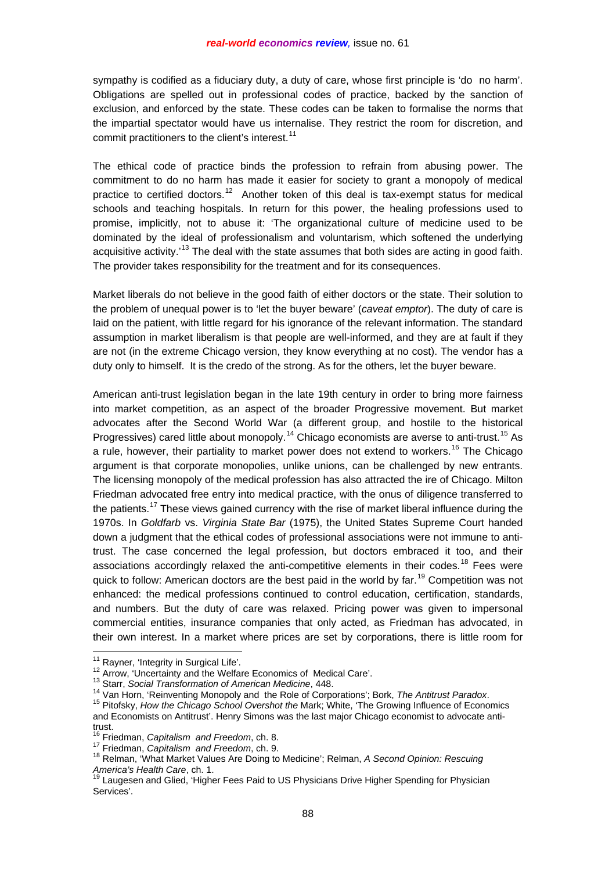sympathy is codified as a fiduciary duty, a duty of care, whose first principle is 'do no harm'. Obligations are spelled out in professional codes of practice, backed by the sanction of exclusion, and enforced by the state. These codes can be taken to formalise the norms that the impartial spectator would have us internalise. They restrict the room for discretion, and commit practitioners to the client's interest.<sup>[11](#page-3-0)</sup>

The ethical code of practice binds the profession to refrain from abusing power. The commitment to do no harm has made it easier for society to grant a monopoly of medical practice to certified doctors.<sup>12</sup> Another token of this deal is tax-exempt status for medical schools and teaching hospitals. In return for this power, the healing professions used to promise, implicitly, not to abuse it: 'The organizational culture of medicine used to be dominated by the ideal of professionalism and voluntarism, which softened the underlying acquisitive activity.<sup>[13](#page-3-2)</sup> The deal with the state assumes that both sides are acting in good faith. The provider takes responsibility for the treatment and for its consequences.

Market liberals do not believe in the good faith of either doctors or the state. Their solution to the problem of unequal power is to 'let the buyer beware' (*caveat emptor*). The duty of care is laid on the patient, with little regard for his ignorance of the relevant information. The standard assumption in market liberalism is that people are well-informed, and they are at fault if they are not (in the extreme Chicago version, they know everything at no cost). The vendor has a duty only to himself. It is the credo of the strong. As for the others, let the buyer beware.

American anti-trust legislation began in the late 19th century in order to bring more fairness into market competition, as an aspect of the broader Progressive movement. But market advocates after the Second World War (a different group, and hostile to the historical Progressives) cared little about monopoly.<sup>[14](#page-3-3)</sup> Chicago economists are averse to anti-trust.<sup>[15](#page-3-4)</sup> As a rule, however, their partiality to market power does not extend to workers.<sup>[16](#page-3-5)</sup> The Chicago argument is that corporate monopolies, unlike unions, can be challenged by new entrants. The licensing monopoly of the medical profession has also attracted the ire of Chicago. Milton Friedman advocated free entry into medical practice, with the onus of diligence transferred to the patients.<sup>[17](#page-3-6)</sup> These views gained currency with the rise of market liberal influence during the 1970s. In *Goldfarb* vs. *Virginia State Bar* (1975), the United States Supreme Court handed down a judgment that the ethical codes of professional associations were not immune to antitrust. The case concerned the legal profession, but doctors embraced it too, and their associations accordingly relaxed the anti-competitive elements in their codes.<sup>[18](#page-3-7)</sup> Fees were quick to follow: American doctors are the best paid in the world by far.<sup>[19](#page-3-8)</sup> Competition was not enhanced: the medical professions continued to control education, certification, standards, and numbers. But the duty of care was relaxed. Pricing power was given to impersonal commercial entities, insurance companies that only acted, as Friedman has advocated, in their own interest. In a market where prices are set by corporations, there is little room for

<span id="page-3-2"></span>

<span id="page-3-4"></span><span id="page-3-3"></span>

<span id="page-3-1"></span><span id="page-3-0"></span><sup>&</sup>lt;sup>11</sup> Rayner, 'Integrity in Surgical Life'.<br><sup>12</sup> Arrow, 'Uncertainty and the Welfare Economics of Medical Care'.<br><sup>13</sup> Starr, *Social Transformation of American Medicine*, 448.<br><sup>14</sup> Van Horn, 'Reinventing Monopoly and the R and Economists on Antitrust'. Henry Simons was the last major Chicago economist to advocate antitrust.<br><sup>16</sup> Friedman, *Capitalism and Freedom*, ch. 8.

<span id="page-3-7"></span><span id="page-3-6"></span><span id="page-3-5"></span><sup>16</sup> Friedman, *Capitalism and Freedom*, ch. 8. 17 Friedman, *Capitalism and Freedom*, ch. 9. <sup>18</sup> Relman, 'What Market Values Are Doing to Medicine'; Relman, *A Second Opinion: Rescuing America's Health Care*, ch. 1.<br><sup>19</sup> Laugesen and Glied, 'Higher Fees Paid to US Physicians Drive Higher Spending for Physician

<span id="page-3-8"></span>Services'.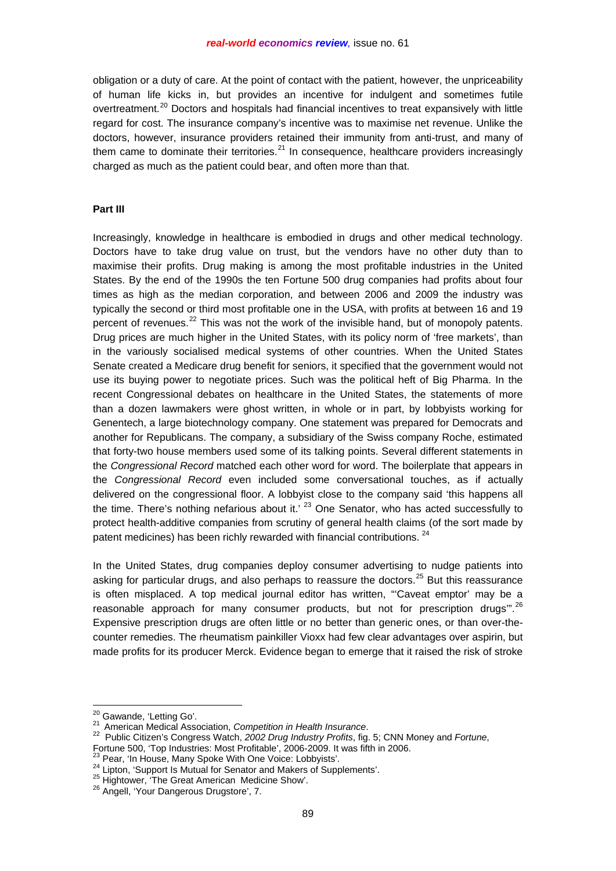obligation or a duty of care. At the point of contact with the patient, however, the unpriceability of human life kicks in, but provides an incentive for indulgent and sometimes futile overtreatment.<sup>[20](#page-4-0)</sup> Doctors and hospitals had financial incentives to treat expansively with little regard for cost. The insurance company's incentive was to maximise net revenue. Unlike the doctors, however, insurance providers retained their immunity from anti-trust, and many of them came to dominate their territories. $^{21}$  $^{21}$  $^{21}$  In consequence, healthcare providers increasingly charged as much as the patient could bear, and often more than that.

### **Part III**

Increasingly, knowledge in healthcare is embodied in drugs and other medical technology. Doctors have to take drug value on trust, but the vendors have no other duty than to maximise their profits. Drug making is among the most profitable industries in the United States. By the end of the 1990s the ten Fortune 500 drug companies had profits about four times as high as the median corporation, and between 2006 and 2009 the industry was typically the second or third most profitable one in the USA, with profits at between 16 and 19 percent of revenues.<sup>22</sup> This was not the work of the invisible hand, but of monopoly patents. Drug prices are much higher in the United States, with its policy norm of 'free markets', than in the variously socialised medical systems of other countries. When the United States Senate created a Medicare drug benefit for seniors, it specified that the government would not use its buying power to negotiate prices. Such was the political heft of Big Pharma. In the recent Congressional debates on healthcare in the United States, the statements of more than a dozen lawmakers were ghost written, in whole or in part, by lobbyists working for Genentech, a large biotechnology company. One statement was prepared for Democrats and another for Republicans. The company, a subsidiary of the Swiss company Roche, estimated that forty-two house members used some of its talking points. Several different statements in the *Congressional Record* matched each other word for word. The boilerplate that appears in the *Congressional Record* even included some conversational touches, as if actually delivered on the congressional floor. A lobbyist close to the company said 'this happens all the time. There's nothing nefarious about it.' <sup>23</sup> One Senator, who has acted successfully to protect health-additive companies from scrutiny of general health claims (of the sort made by patent medicines) has been richly rewarded with financial contributions. <sup>24</sup>

In the United States, drug companies deploy consumer advertising to nudge patients into asking for particular drugs, and also perhaps to reassure the doctors.<sup>25</sup> But this reassurance is often misplaced. A top medical journal editor has written, "'Caveat emptor' may be a reasonable approach for many consumer products, but not for prescription drugs"<sup>26</sup> Expensive prescription drugs are often little or no better than generic ones, or than over-thecounter remedies. The rheumatism painkiller Vioxx had few clear advantages over aspirin, but made profits for its producer Merck. Evidence began to emerge that it raised the risk of stroke

<span id="page-4-1"></span><span id="page-4-0"></span><sup>&</sup>lt;sup>20</sup> Gawande, 'Letting Go'.<br><sup>21</sup> American Medical Association, *Competition in Health Insurance*.<br><sup>22</sup> Public Citizen's Congress Watch, *2002 Drug Industry Profits*, fig. 5; CNN Money and *Fortune*,

Fortune 500, 'Top Industries: Most Profitable', 2006-2009. It was fifth in 2006.<br><sup>23</sup> Pear, 'In House, Many Spoke With One Voice: Lobbyists'.<br><sup>24</sup> Lipton, 'Support Is Mutual for Senator and Makers of Supplements'.<br><sup>25</sup> Hig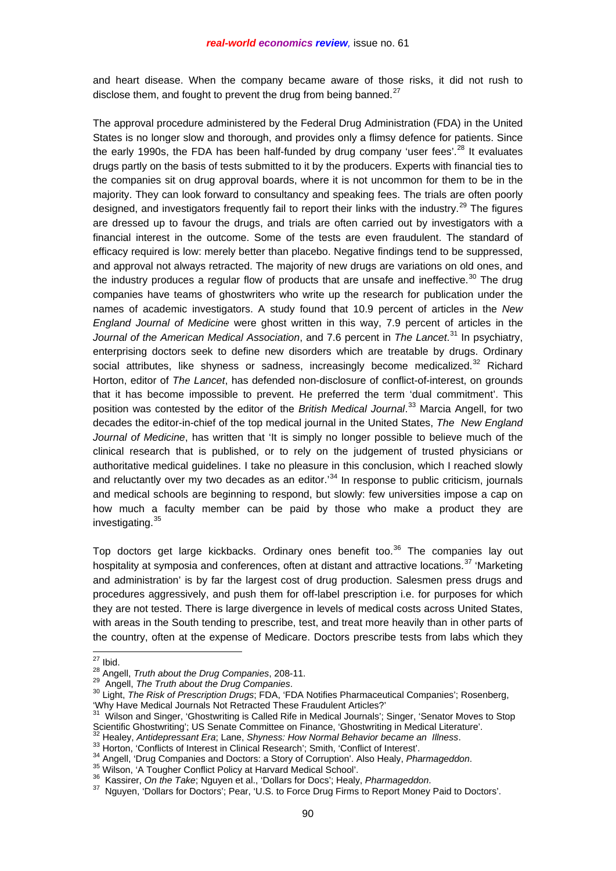and heart disease. When the company became aware of those risks, it did not rush to disclose them, and fought to prevent the drug from being banned. $27$ 

The approval procedure administered by the Federal Drug Administration (FDA) in the United States is no longer slow and thorough, and provides only a flimsy defence for patients. Since the early 1990s, the FDA has been half-funded by drug company 'user fees'.<sup>[28](#page-5-1)</sup> It evaluates drugs partly on the basis of tests submitted to it by the producers. Experts with financial ties to the companies sit on drug approval boards, where it is not uncommon for them to be in the majority. They can look forward to consultancy and speaking fees. The trials are often poorly designed, and investigators frequently fail to report their links with the industry.<sup>[29](#page-5-2)</sup> The figures are dressed up to favour the drugs, and trials are often carried out by investigators with a financial interest in the outcome. Some of the tests are even fraudulent. The standard of efficacy required is low: merely better than placebo. Negative findings tend to be suppressed, and approval not always retracted. The majority of new drugs are variations on old ones, and the industry produces a regular flow of products that are unsafe and ineffective.<sup>[30](#page-5-3)</sup> The drug companies have teams of ghostwriters who write up the research for publication under the names of academic investigators. A study found that 10.9 percent of articles in the *New England Journal of Medicine* were ghost written in this way, 7.9 percent of articles in the *Journal of the American Medical Association*, and 7.6 percent in *The Lancet*. [31](#page-5-4) In psychiatry, enterprising doctors seek to define new disorders which are treatable by drugs. Ordinary social attributes, like shyness or sadness, increasingly become medicalized.<sup>[32](#page-5-5)</sup> Richard Horton, editor of *The Lancet*, has defended non-disclosure of conflict-of-interest, on grounds that it has become impossible to prevent. He preferred the term 'dual commitment'. This position was contested by the editor of the *British Medical Journal*. [33](#page-5-6) Marcia Angell, for two decades the editor-in-chief of the top medical journal in the United States, *The New England Journal of Medicine*, has written that 'It is simply no longer possible to believe much of the clinical research that is published, or to rely on the judgement of trusted physicians or authoritative medical guidelines. I take no pleasure in this conclusion, which I reached slowly and reluctantly over my two decades as an editor.<sup>[34](#page-5-7)</sup> In response to public criticism, journals and medical schools are beginning to respond, but slowly: few universities impose a cap on how much a faculty member can be paid by those who make a product they are investigating. $35$ 

Top doctors get large kickbacks. Ordinary ones benefit too.<sup>[36](#page-5-9)</sup> The companies lay out hospitality at symposia and conferences, often at distant and attractive locations.<sup>[37](#page-5-10)</sup> 'Marketing and administration' is by far the largest cost of drug production. Salesmen press drugs and procedures aggressively, and push them for off-label prescription i.e. for purposes for which they are not tested. There is large divergence in levels of medical costs across United States, with areas in the South tending to prescribe, test, and treat more heavily than in other parts of the country, often at the expense of Medicare. Doctors prescribe tests from labs which they

<span id="page-5-2"></span><span id="page-5-1"></span>

<span id="page-5-0"></span><sup>&</sup>lt;sup>27</sup> Ibid.<br><sup>28</sup> Angell, *Truth about the Drug Companies*, 208-11.<br><sup>29</sup> Angell, *The Truth about the Drug Companies.*<br><sup>30</sup> Liaht, *The Risk of Prescription Drugs*; FDA, 'FDA Notifies Pharmaceutical Companies'; Rosenberg, 'Why Have Medical Journals Not Retracted These Fraudulent Articles?'

<span id="page-5-4"></span><span id="page-5-3"></span><sup>&</sup>lt;sup>31</sup> Wilson and Singer, 'Ghostwriting is Called Rife in Medical Journals'; Singer, 'Senator Moves to Stop Scientific Ghostwriting'; US Senate Committee on Finance, 'Ghostwriting in Medical Literature'.<br><sup>32</sup> Healey, *Antidepressant Era*; Lane, *Shyness: How Normal Behavior became an Illness.*<br><sup>33</sup> Horton, 'Conflicts of Interest

<span id="page-5-5"></span>

<span id="page-5-7"></span><span id="page-5-6"></span>

<span id="page-5-9"></span><span id="page-5-8"></span>

<span id="page-5-10"></span>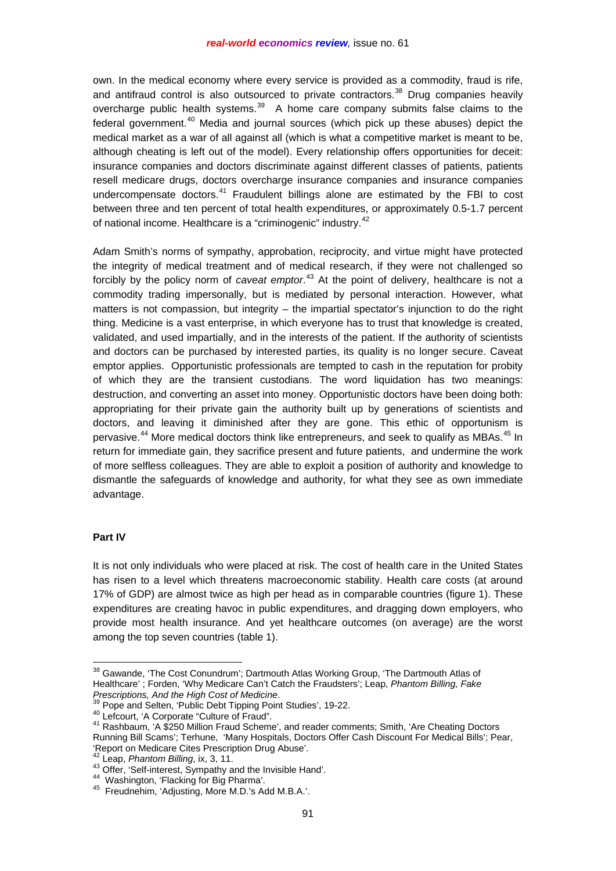own. In the medical economy where every service is provided as a commodity, fraud is rife, and antifraud control is also outsourced to private contractors.<sup>[38](#page-6-0)</sup> Drug companies heavilv overcharge public health systems. $39$  A home care company submits false claims to the federal government.<sup>[40](#page-6-2)</sup> Media and journal sources (which pick up these abuses) depict the medical market as a war of all against all (which is what a competitive market is meant to be, although cheating is left out of the model). Every relationship offers opportunities for deceit: insurance companies and doctors discriminate against different classes of patients, patients resell medicare drugs, doctors overcharge insurance companies and insurance companies undercompensate doctors. $41$  Fraudulent billings alone are estimated by the FBI to cost between three and ten percent of total health expenditures, or approximately 0.5-1.7 percent of national income. Healthcare is a "criminogenic" industry.<sup>[42](#page-6-4)</sup>

Adam Smith's norms of sympathy, approbation, reciprocity, and virtue might have protected the integrity of medical treatment and of medical research, if they were not challenged so forcibly by the policy norm of *caveat emptor*. [43](#page-6-5) At the point of delivery, healthcare is not a commodity trading impersonally, but is mediated by personal interaction. However, what matters is not compassion, but integrity – the impartial spectator's injunction to do the right thing. Medicine is a vast enterprise, in which everyone has to trust that knowledge is created, validated, and used impartially, and in the interests of the patient. If the authority of scientists and doctors can be purchased by interested parties, its quality is no longer secure. Caveat emptor applies. Opportunistic professionals are tempted to cash in the reputation for probity of which they are the transient custodians. The word liquidation has two meanings: destruction, and converting an asset into money. Opportunistic doctors have been doing both: appropriating for their private gain the authority built up by generations of scientists and doctors, and leaving it diminished after they are gone. This ethic of opportunism is pervasive.<sup>[44](#page-6-6)</sup> More medical doctors think like entrepreneurs, and seek to qualify as MBAs.<sup>[45](#page-6-7)</sup> In return for immediate gain, they sacrifice present and future patients, and undermine the work of more selfless colleagues. They are able to exploit a position of authority and knowledge to dismantle the safeguards of knowledge and authority, for what they see as own immediate advantage.

## **Part IV**

It is not only individuals who were placed at risk. The cost of health care in the United States has risen to a level which threatens macroeconomic stability. Health care costs (at around 17% of GDP) are almost twice as high per head as in comparable countries (figure 1). These expenditures are creating havoc in public expenditures, and dragging down employers, who provide most health insurance. And yet healthcare outcomes (on average) are the worst among the top seven countries (table 1).

<span id="page-6-0"></span><sup>&</sup>lt;sup>38</sup> Gawande, 'The Cost Conundrum'; Dartmouth Atlas Working Group, 'The Dartmouth Atlas of Healthcare' ; Forden, 'Why Medicare Can't Catch the Fraudsters'; Leap, *Phantom Billing, Fake Prescriptions, And the High Cost of Medicine.*<br><sup>39</sup> Pope and Selten, 'Public Debt Tipping Point Studies', 19-22.

<span id="page-6-3"></span><span id="page-6-2"></span><span id="page-6-1"></span><sup>&</sup>lt;sup>40</sup> Lefcourt, 'A Corporate "Culture of Fraud".<br><sup>41</sup> Rashbaum, 'A \$250 Million Fraud Scheme', and reader comments; Smith, 'Are Cheating Doctors Running Bill Scams'; Terhune, 'Many Hospitals, Doctors Offer Cash Discount For Medical Bills'; Pear, 'Report on Medicare Cites Prescription Drug Abuse'.

<span id="page-6-6"></span><span id="page-6-5"></span><span id="page-6-4"></span><sup>&</sup>lt;sup>43</sup> Offer, 'Self-interest, Sympathy and the Invisible Hand'.<br><sup>44</sup> Washington, 'Flacking for Big Pharma'.<br><sup>45</sup> Freudnehim, 'Adjusting, More M.D.'s Add M.B.A.'.

<span id="page-6-7"></span>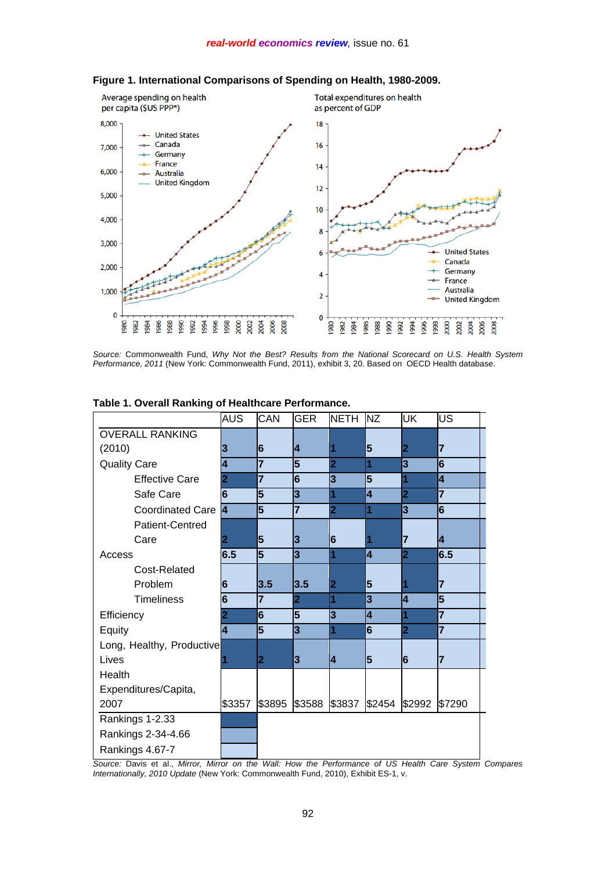

# **Figure 1. International Comparisons of Spending on Health, 1980-2009.**

*Source:* Commonwealth Fund, *Why Not the Best? Results from the National Scorecard on U.S. Health System Performance, 2011* (New York: Commonwealth Fund, 2011), exhibit 3, 20. Based onOECD Health database.

|                           |                         | <b>AUS</b>              | <b>CAN</b>     | <b>GER</b>              | <b>NETH</b> | <b>NZ</b>               | UK             | US     |  |
|---------------------------|-------------------------|-------------------------|----------------|-------------------------|-------------|-------------------------|----------------|--------|--|
| <b>OVERALL RANKING</b>    |                         |                         |                |                         |             |                         |                |        |  |
| (2010)                    |                         | 3                       | 6              | 4                       |             | 5                       | 2              | 7      |  |
| <b>Quality Care</b>       |                         | 4                       | $\overline{7}$ | 5                       | 2           | 1                       | 3              | 6      |  |
|                           | <b>Effective Care</b>   | 2                       | 7              | 6                       | 3           | 5                       |                | 4      |  |
|                           | Safe Care               | 6                       | 5              | $\overline{\mathbf{3}}$ | 1           | $\overline{\mathbf{4}}$ | $\overline{2}$ | 7      |  |
|                           | <b>Coordinated Care</b> | $\overline{\mathbf{A}}$ | 5              | 7                       | 2           | 1                       | 3              | 6      |  |
|                           | Patient-Centred         |                         |                |                         |             |                         |                |        |  |
|                           | Care                    | 2                       | 5              | 3                       | 6           |                         | 7              | 4      |  |
| Access                    |                         | 6.5                     | 5              | $\overline{\mathbf{3}}$ | 1           | $\overline{\mathbf{4}}$ | $\overline{2}$ | 6.5    |  |
|                           | Cost-Related            |                         |                |                         |             |                         |                |        |  |
|                           | Problem                 | 6                       | 3.5            | 3.5                     | 2           | 5                       |                | 7      |  |
|                           | <b>Timeliness</b>       | 6                       | 7              | $\overline{2}$          |             | $\overline{\mathbf{3}}$ | 4              | 5      |  |
| Efficiency                |                         | $\overline{2}$          | $\bf{6}$       | 5                       | 3           | $\overline{\mathbf{4}}$ | 1              | 7      |  |
| Equity                    |                         | $\overline{\mathbf{4}}$ | 5              | $\overline{\mathbf{3}}$ |             | 6                       | 2              | 7      |  |
| Long, Healthy, Productive |                         |                         |                |                         |             |                         |                |        |  |
| Lives                     |                         |                         | $\overline{2}$ | $\overline{\mathbf{3}}$ | 14          | 5                       | 6              | 7      |  |
| Health                    |                         |                         |                |                         |             |                         |                |        |  |
| Expenditures/Capita,      |                         |                         |                |                         |             |                         |                |        |  |
| 2007                      |                         | \$3357                  | \$3895         | \$3588                  | \$3837      | \$2454                  | \$2992         | \$7290 |  |
| Rankings 1-2.33           |                         |                         |                |                         |             |                         |                |        |  |
| Rankings 2-34-4.66        |                         |                         |                |                         |             |                         |                |        |  |
| Rankings 4.67-7           |                         |                         |                |                         |             |                         |                |        |  |

## **Table 1. Overall Ranking of Healthcare Performance.**

*Source:* Davis et al., *Mirror, Mirror on the Wall: How the Performance of US Health Care System Compares Internationally, 2010 Update* (New York: Commonwealth Fund, 2010), Exhibit ES-1, v.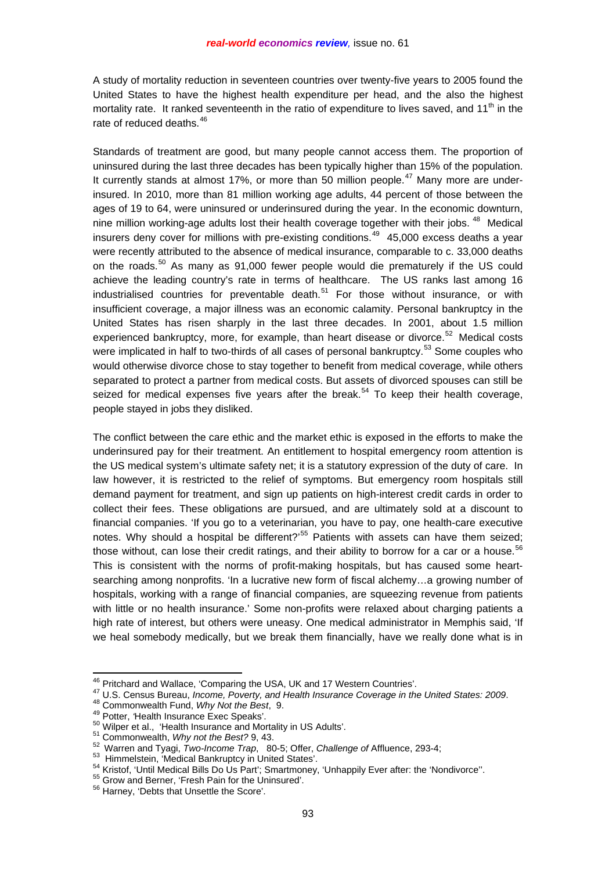A study of mortality reduction in seventeen countries over twenty-five years to 2005 found the United States to have the highest health expenditure per head, and the also the highest mortality rate. It ranked seventeenth in the ratio of expenditure to lives saved, and 11<sup>th</sup> in the rate of reduced deaths.<sup>[46](#page-8-0)</sup>

Standards of treatment are good, but many people cannot access them. The proportion of uninsured during the last three decades has been typically higher than 15% of the population. It currently stands at almost 17%, or more than 50 million people.<sup>[47](#page-8-1)</sup> Many more are underinsured. In 2010, more than 81 million working age adults, 44 percent of those between the ages of 19 to 64, were uninsured or underinsured during the year. In the economic downturn, nine million working-age adults lost their health coverage together with their jobs. <sup>[48](#page-8-2)</sup> Medical insurers deny cover for millions with pre-existing conditions.<sup>[49](#page-8-3)</sup> 45,000 excess deaths a year were recently attributed to the absence of medical insurance, comparable to c. 33,000 deaths on the roads.<sup>[50](#page-8-4)</sup> As many as 91,000 fewer people would die prematurely if the US could achieve the leading country's rate in terms of healthcare. The US ranks last among 16 industrialised countries for preventable death.<sup>[51](#page-8-5)</sup> For those without insurance, or with insufficient coverage, a major illness was an economic calamity. Personal bankruptcy in the United States has risen sharply in the last three decades. In 2001, about 1.5 million experienced bankruptcy, more, for example, than heart disease or divorce.<sup>52</sup> Medical costs were implicated in half to two-thirds of all cases of personal bankruptcy.<sup>[53](#page-8-7)</sup> Some couples who would otherwise divorce chose to stay together to benefit from medical coverage, while others separated to protect a partner from medical costs. But assets of divorced spouses can still be seized for medical expenses five years after the break.<sup>[54](#page-8-8)</sup> To keep their health coverage, people stayed in jobs they disliked.

The conflict between the care ethic and the market ethic is exposed in the efforts to make the underinsured pay for their treatment. An entitlement to hospital emergency room attention is the US medical system's ultimate safety net; it is a statutory expression of the duty of care. In law however, it is restricted to the relief of symptoms. But emergency room hospitals still demand payment for treatment, and sign up patients on high-interest credit cards in order to collect their fees. These obligations are pursued, and are ultimately sold at a discount to financial companies. 'If you go to a veterinarian, you have to pay, one health-care executive notes. Why should a hospital be different?<sup>[55](#page-8-9)</sup> Patients with assets can have them seized: those without, can lose their credit ratings, and their ability to borrow for a car or a house.<sup>[56](#page-8-10)</sup> This is consistent with the norms of profit-making hospitals, but has caused some heartsearching among nonprofits. 'In a lucrative new form of fiscal alchemy…a growing number of hospitals, working with a range of financial companies, are squeezing revenue from patients with little or no health insurance.' Some non-profits were relaxed about charging patients a high rate of interest, but others were uneasy. One medical administrator in Memphis said, 'If we heal somebody medically, but we break them financially, have we really done what is in

<span id="page-8-1"></span><span id="page-8-0"></span><sup>&</sup>lt;sup>46</sup> Pritchard and Wallace, 'Comparing the USA, UK and 17 Western Countries'.<br>
<sup>47</sup> U.S. Census Bureau, *Income, Poverty, and Health Insurance Coverage in the United States: 2009.*<br>
<sup>48</sup> Commonwealth Fund, *Why Not the Be* 

<span id="page-8-2"></span>

<span id="page-8-3"></span>

<span id="page-8-4"></span>

<span id="page-8-5"></span>

<span id="page-8-6"></span>

<span id="page-8-7"></span>

<span id="page-8-9"></span><span id="page-8-8"></span>

<span id="page-8-10"></span>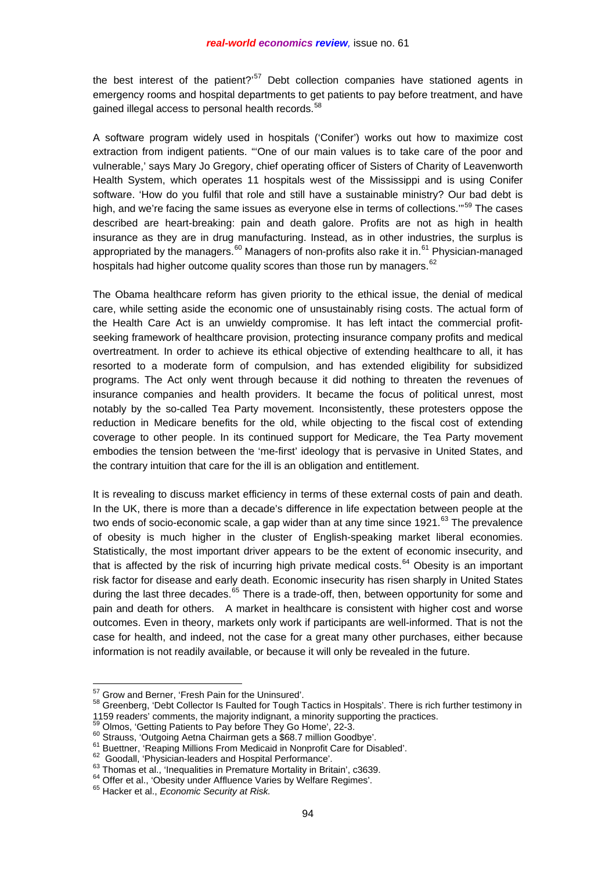the best interest of the patient?<sup>[57](#page-9-0)</sup> Debt collection companies have stationed agents in emergency rooms and hospital departments to get patients to pay before treatment, and have gained illegal access to personal health records.<sup>[58](#page-9-1)</sup>

A software program widely used in hospitals ('Conifer') works out how to maximize cost extraction from indigent patients. "'One of our main values is to take care of the poor and vulnerable,' says Mary Jo Gregory, chief operating officer of Sisters of Charity of Leavenworth Health System, which operates 11 hospitals west of the Mississippi and is using Conifer software. 'How do you fulfil that role and still have a sustainable ministry? Our bad debt is high, and we're facing the same issues as everyone else in terms of collections."<sup>[59](#page-9-2)</sup> The cases described are heart-breaking: pain and death galore. Profits are not as high in health insurance as they are in drug manufacturing. Instead, as in other industries, the surplus is appropriated by the managers. $^{60}$  $^{60}$  $^{60}$  Managers of non-profits also rake it in.<sup>[61](#page-9-4)</sup> Physician-managed hospitals had higher outcome quality scores than those run by managers.<sup>[62](#page-9-5)</sup>

The Obama healthcare reform has given priority to the ethical issue, the denial of medical care, while setting aside the economic one of unsustainably rising costs. The actual form of the Health Care Act is an unwieldy compromise. It has left intact the commercial profitseeking framework of healthcare provision, protecting insurance company profits and medical overtreatment. In order to achieve its ethical objective of extending healthcare to all, it has resorted to a moderate form of compulsion, and has extended eligibility for subsidized programs. The Act only went through because it did nothing to threaten the revenues of insurance companies and health providers. It became the focus of political unrest, most notably by the so-called Tea Party movement. Inconsistently, these protesters oppose the reduction in Medicare benefits for the old, while objecting to the fiscal cost of extending coverage to other people. In its continued support for Medicare, the Tea Party movement embodies the tension between the 'me-first' ideology that is pervasive in United States, and the contrary intuition that care for the ill is an obligation and entitlement.

It is revealing to discuss market efficiency in terms of these external costs of pain and death. In the UK, there is more than a decade's difference in life expectation between people at the two ends of socio-economic scale, a gap wider than at any time since 1921. $^{63}$  $^{63}$  $^{63}$  The prevalence of obesity is much higher in the cluster of English-speaking market liberal economies. Statistically, the most important driver appears to be the extent of economic insecurity, and that is affected by the risk of incurring high private medical costs.<sup>[64](#page-9-7)</sup> Obesity is an important risk factor for disease and early death. Economic insecurity has risen sharply in United States during the last three decades.<sup>[65](#page-9-8)</sup> There is a trade-off, then, between opportunity for some and pain and death for others. A market in healthcare is consistent with higher cost and worse outcomes. Even in theory, markets only work if participants are well-informed. That is not the case for health, and indeed, not the case for a great many other purchases, either because information is not readily available, or because it will only be revealed in the future.

<span id="page-9-1"></span><span id="page-9-0"></span> $57$  Grow and Berner, 'Fresh Pain for the Uninsured'.<br> $58$  Greenberg, 'Debt Collector Is Faulted for Tough Tactics in Hospitals'. There is rich further testimony in 1159 readers' comments, the majority indignant, a minority supporting the practices.<br><sup>59</sup> Olmos, 'Getting Patients to Pay before They Go Home', 22-3.

<span id="page-9-4"></span><span id="page-9-3"></span><span id="page-9-2"></span><sup>&</sup>lt;sup>60</sup> Strauss, 'Outgoing Aetha Chairman gets a \$68.7 million Goodbye'.<br>
<sup>60</sup> Strauss, 'Outgoing Aetha Chairman gets a \$68.7 million Goodbye'.<br>
<sup>61</sup> Buettner, 'Reaping Millions From Medicaid in Nonprofit Care for Disabled'.<br>

<span id="page-9-6"></span><span id="page-9-5"></span>

<span id="page-9-8"></span><span id="page-9-7"></span>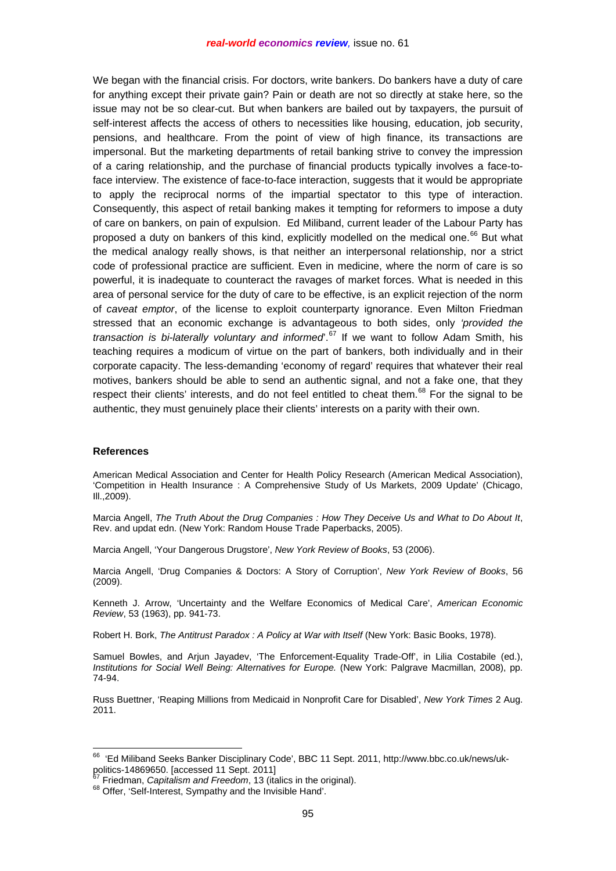We began with the financial crisis. For doctors, write bankers. Do bankers have a duty of care for anything except their private gain? Pain or death are not so directly at stake here, so the issue may not be so clear-cut. But when bankers are bailed out by taxpayers, the pursuit of self-interest affects the access of others to necessities like housing, education, job security, pensions, and healthcare. From the point of view of high finance, its transactions are impersonal. But the marketing departments of retail banking strive to convey the impression of a caring relationship, and the purchase of financial products typically involves a face-toface interview. The existence of face-to-face interaction, suggests that it would be appropriate to apply the reciprocal norms of the impartial spectator to this type of interaction. Consequently, this aspect of retail banking makes it tempting for reformers to impose a duty of care on bankers, on pain of expulsion. Ed Miliband, current leader of the Labour Party has proposed a duty on bankers of this kind, explicitly modelled on the medical one.<sup>[66](#page-10-0)</sup> But what the medical analogy really shows, is that neither an interpersonal relationship, nor a strict code of professional practice are sufficient. Even in medicine, where the norm of care is so powerful, it is inadequate to counteract the ravages of market forces. What is needed in this area of personal service for the duty of care to be effective, is an explicit rejection of the norm of *caveat emptor*, of the license to exploit counterparty ignorance. Even Milton Friedman stressed that an economic exchange is advantageous to both sides, only *'provided the*  transaction is bi-laterally voluntary and informed<sup>[67](#page-10-1)</sup> If we want to follow Adam Smith, his teaching requires a modicum of virtue on the part of bankers, both individually and in their corporate capacity. The less-demanding 'economy of regard' requires that whatever their real motives, bankers should be able to send an authentic signal, and not a fake one, that they respect their clients' interests, and do not feel entitled to cheat them.<sup>[68](#page-10-2)</sup> For the signal to be authentic, they must genuinely place their clients' interests on a parity with their own.

#### **References**

American Medical Association and Center for Health Policy Research (American Medical Association), 'Competition in Health Insurance : A Comprehensive Study of Us Markets, 2009 Update' (Chicago, Ill.,2009).

Marcia Angell, *The Truth About the Drug Companies : How They Deceive Us and What to Do About It*, Rev. and updat edn. (New York: Random House Trade Paperbacks, 2005).

Marcia Angell, 'Your Dangerous Drugstore', *New York Review of Books*, 53 (2006).

Marcia Angell, 'Drug Companies & Doctors: A Story of Corruption', *New York Review of Books*, 56 (2009).

Kenneth J. Arrow, 'Uncertainty and the Welfare Economics of Medical Care', *American Economic Review*, 53 (1963), pp. 941-73.

Robert H. Bork, *The Antitrust Paradox : A Policy at War with Itself* (New York: Basic Books, 1978).

Samuel Bowles, and Arjun Jayadev, 'The Enforcement-Equality Trade-Off', in Lilia Costabile (ed.), *Institutions for Social Well Being: Alternatives for Europe.* (New York: Palgrave Macmillan, 2008), pp. 74-94.

Russ Buettner, 'Reaping Millions from Medicaid in Nonprofit Care for Disabled', *New York Times* 2 Aug. 2011.

<span id="page-10-0"></span><sup>&</sup>lt;sup>66</sup> 'Ed Miliband Seeks Banker Disciplinary Code', BBC 11 Sept. 2011, http://www.bbc.co.uk/news/uk-<br>politics-14869650. [accessed 11 Sept. 2011]

<span id="page-10-1"></span><sup>&</sup>lt;sup>67</sup> Friedman, *Capitalism and Freedom*, 13 (italics in the original). <sup>68</sup> Offer. 'Self-Interest, Sympathy and the Invisible Hand'.

<span id="page-10-2"></span>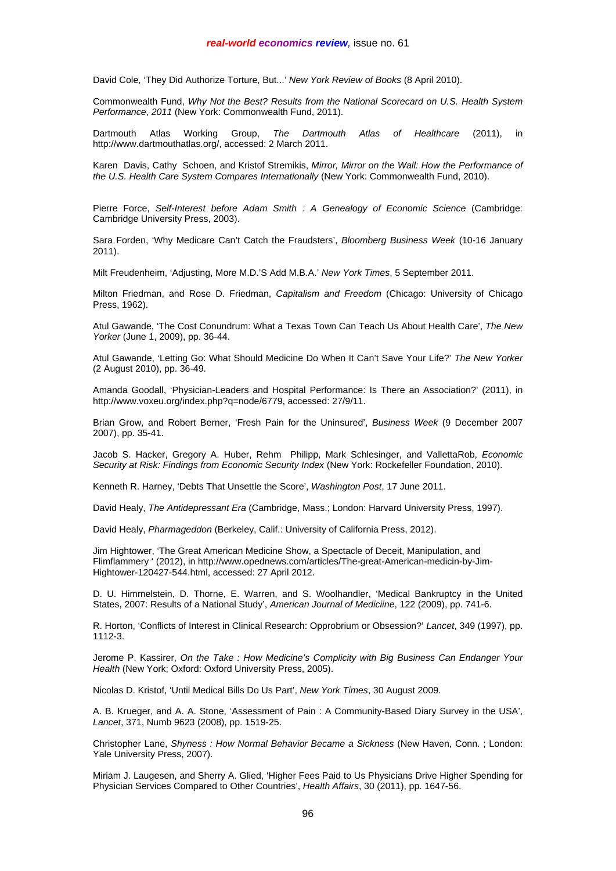David Cole, 'They Did Authorize Torture, But...' *New York Review of Books* (8 April 2010).

Commonwealth Fund, *Why Not the Best? Results from the National Scorecard on U.S. Health System Performance*, *2011* (New York: Commonwealth Fund, 2011).

Dartmouth Atlas Working Group, *The Dartmouth Atlas of Healthcare* (2011), in http://www.dartmouthatlas.org/, accessed: 2 March 2011.

Karen Davis, Cathy Schoen, and Kristof Stremikis, *Mirror, Mirror on the Wall: How the Performance of the U.S. Health Care System Compares Internationally* (New York: Commonwealth Fund, 2010).

Pierre Force, *Self-Interest before Adam Smith : A Genealogy of Economic Science* (Cambridge: Cambridge University Press, 2003).

Sara Forden, 'Why Medicare Can't Catch the Fraudsters', *Bloomberg Business Week* (10-16 January 2011).

Milt Freudenheim, 'Adjusting, More M.D.'S Add M.B.A.' *New York Times*, 5 September 2011.

Milton Friedman, and Rose D. Friedman, *Capitalism and Freedom* (Chicago: University of Chicago Press, 1962).

Atul Gawande, 'The Cost Conundrum: What a Texas Town Can Teach Us About Health Care', *The New Yorker* (June 1, 2009), pp. 36-44.

Atul Gawande, 'Letting Go: What Should Medicine Do When It Can't Save Your Life?' *The New Yorker* (2 August 2010), pp. 36-49.

Amanda Goodall, 'Physician-Leaders and Hospital Performance: Is There an Association?' (2011), in http://www.voxeu.org/index.php?q=node/6779, accessed: 27/9/11.

Brian Grow, and Robert Berner, 'Fresh Pain for the Uninsured', *Business Week* (9 December 2007 2007), pp. 35-41.

Jacob S. Hacker, Gregory A. Huber, Rehm Philipp, Mark Schlesinger, and VallettaRob, *Economic Security at Risk: Findings from Economic Security Index* (New York: Rockefeller Foundation, 2010).

Kenneth R. Harney, 'Debts That Unsettle the Score', *Washington Post*, 17 June 2011.

David Healy, *The Antidepressant Era* (Cambridge, Mass.; London: Harvard University Press, 1997).

David Healy, *Pharmageddon* (Berkeley, Calif.: University of California Press, 2012).

Jim Hightower, 'The Great American Medicine Show, a Spectacle of Deceit, Manipulation, and Flimflammery ' (2012), in http://www.opednews.com/articles/The-great-American-medicin-by-Jim-Hightower-120427-544.html, accessed: 27 April 2012.

D. U. Himmelstein, D. Thorne, E. Warren, and S. Woolhandler, 'Medical Bankruptcy in the United States, 2007: Results of a National Study', *American Journal of Mediciine*, 122 (2009), pp. 741-6.

R. Horton, 'Conflicts of Interest in Clinical Research: Opprobrium or Obsession?' *Lancet*, 349 (1997), pp. 1112-3.

Jerome P. Kassirer, *On the Take : How Medicine's Complicity with Big Business Can Endanger Your Health* (New York; Oxford: Oxford University Press, 2005).

Nicolas D. Kristof, 'Until Medical Bills Do Us Part', *New York Times*, 30 August 2009.

A. B. Krueger, and A. A. Stone, 'Assessment of Pain : A Community-Based Diary Survey in the USA', *Lancet*, 371, Numb 9623 (2008), pp. 1519-25.

Christopher Lane, *Shyness : How Normal Behavior Became a Sickness* (New Haven, Conn. ; London: Yale University Press, 2007).

Miriam J. Laugesen, and Sherry A. Glied, 'Higher Fees Paid to Us Physicians Drive Higher Spending for Physician Services Compared to Other Countries', *Health Affairs*, 30 (2011), pp. 1647-56.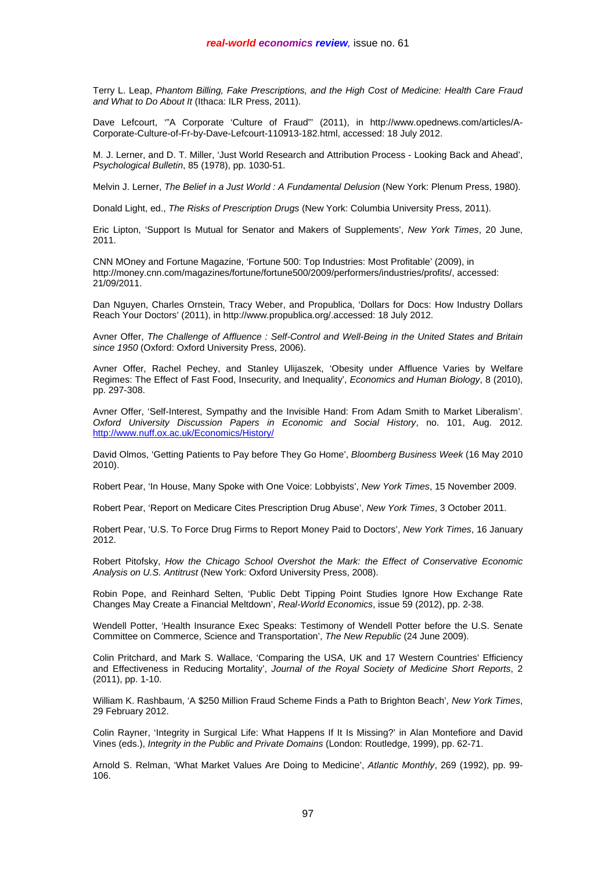Terry L. Leap, *Phantom Billing, Fake Prescriptions, and the High Cost of Medicine: Health Care Fraud and What to Do About It* (Ithaca: ILR Press, 2011).

Dave Lefcourt, '"A Corporate 'Culture of Fraud"' (2011), in http://www.opednews.com/articles/A-Corporate-Culture-of-Fr-by-Dave-Lefcourt-110913-182.html, accessed: 18 July 2012.

M. J. Lerner, and D. T. Miller, 'Just World Research and Attribution Process - Looking Back and Ahead', *Psychological Bulletin*, 85 (1978), pp. 1030-51.

Melvin J. Lerner, *The Belief in a Just World : A Fundamental Delusion* (New York: Plenum Press, 1980).

Donald Light, ed., *The Risks of Prescription Drugs* (New York: Columbia University Press, 2011).

Eric Lipton, 'Support Is Mutual for Senator and Makers of Supplements', *New York Times*, 20 June, 2011.

CNN MOney and Fortune Magazine, 'Fortune 500: Top Industries: Most Profitable' (2009), in http://money.cnn.com/magazines/fortune/fortune500/2009/performers/industries/profits/, accessed: 21/09/2011.

Dan Nguyen, Charles Ornstein, Tracy Weber, and Propublica, 'Dollars for Docs: How Industry Dollars Reach Your Doctors' (2011), in http://www.propublica.org/.accessed: 18 July 2012.

Avner Offer, *The Challenge of Affluence : Self-Control and Well-Being in the United States and Britain since 1950* (Oxford: Oxford University Press, 2006).

Avner Offer, Rachel Pechey, and Stanley Ulijaszek, 'Obesity under Affluence Varies by Welfare Regimes: The Effect of Fast Food, Insecurity, and Inequality', *Economics and Human Biology*, 8 (2010), pp. 297-308.

Avner Offer, 'Self-Interest, Sympathy and the Invisible Hand: From Adam Smith to Market Liberalism'. *Oxford University Discussion Papers in Economic and Social History*, no. 101, Aug. 2012. <http://www.nuff.ox.ac.uk/Economics/History/>

David Olmos, 'Getting Patients to Pay before They Go Home', *Bloomberg Business Week* (16 May 2010 2010).

Robert Pear, 'In House, Many Spoke with One Voice: Lobbyists', *New York Times*, 15 November 2009.

Robert Pear, 'Report on Medicare Cites Prescription Drug Abuse', *New York Times*, 3 October 2011.

Robert Pear, 'U.S. To Force Drug Firms to Report Money Paid to Doctors', *New York Times*, 16 January 2012.

Robert Pitofsky, *How the Chicago School Overshot the Mark: the Effect of Conservative Economic Analysis on U.S. Antitrust* (New York: Oxford University Press, 2008).

Robin Pope, and Reinhard Selten, 'Public Debt Tipping Point Studies Ignore How Exchange Rate Changes May Create a Financial Meltdown', *Real-World Economics*, issue 59 (2012), pp. 2-38.

Wendell Potter, 'Health Insurance Exec Speaks: Testimony of Wendell Potter before the U.S. Senate Committee on Commerce, Science and Transportation', *The New Republic* (24 June 2009).

Colin Pritchard, and Mark S. Wallace, 'Comparing the USA, UK and 17 Western Countries' Efficiency and Effectiveness in Reducing Mortality', *Journal of the Royal Society of Medicine Short Reports*, 2 (2011), pp. 1-10.

William K. Rashbaum, 'A \$250 Million Fraud Scheme Finds a Path to Brighton Beach', *New York Times*, 29 February 2012.

Colin Rayner, 'Integrity in Surgical Life: What Happens If It Is Missing?' in Alan Montefiore and David Vines (eds.), *Integrity in the Public and Private Domains* (London: Routledge, 1999), pp. 62-71.

Arnold S. Relman, 'What Market Values Are Doing to Medicine', *Atlantic Monthly*, 269 (1992), pp. 99- 106.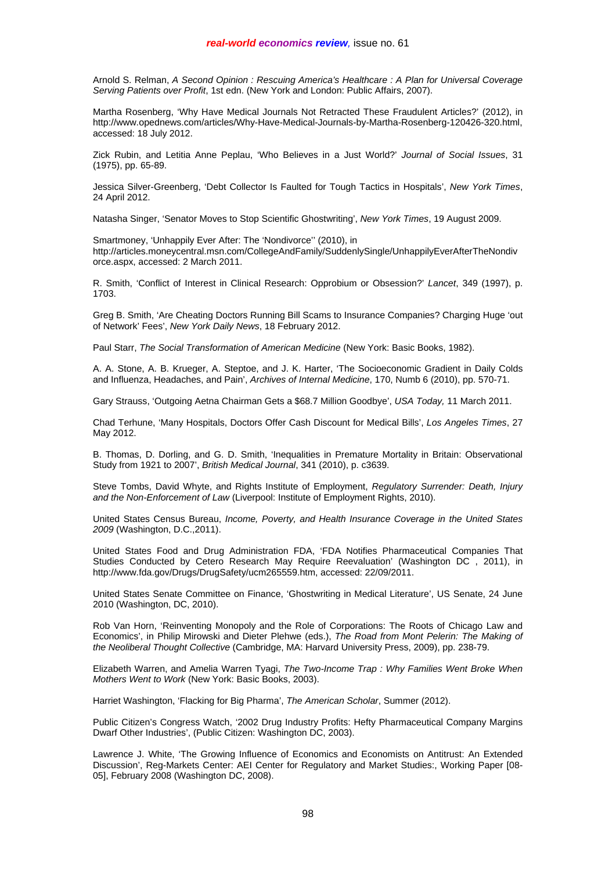Arnold S. Relman, *A Second Opinion : Rescuing America's Healthcare : A Plan for Universal Coverage Serving Patients over Profit*, 1st edn. (New York and London: Public Affairs, 2007).

Martha Rosenberg, 'Why Have Medical Journals Not Retracted These Fraudulent Articles?' (2012), in http://www.opednews.com/articles/Why-Have-Medical-Journals-by-Martha-Rosenberg-120426-320.html, accessed: 18 July 2012.

Zick Rubin, and Letitia Anne Peplau, 'Who Believes in a Just World?' *Journal of Social Issues*, 31 (1975), pp. 65-89.

Jessica Silver-Greenberg, 'Debt Collector Is Faulted for Tough Tactics in Hospitals', *New York Times*, 24 April 2012.

Natasha Singer, 'Senator Moves to Stop Scientific Ghostwriting', *New York Times*, 19 August 2009.

Smartmoney, 'Unhappily Ever After: The 'Nondivorce'' (2010), in http://articles.moneycentral.msn.com/CollegeAndFamily/SuddenlySingle/UnhappilyEverAfterTheNondiv orce.aspx, accessed: 2 March 2011.

R. Smith, 'Conflict of Interest in Clinical Research: Opprobium or Obsession?' *Lancet*, 349 (1997), p. 1703.

Greg B. Smith, 'Are Cheating Doctors Running Bill Scams to Insurance Companies? Charging Huge 'out of Network' Fees', *New York Daily News*, 18 February 2012.

Paul Starr, *The Social Transformation of American Medicine* (New York: Basic Books, 1982).

A. A. Stone, A. B. Krueger, A. Steptoe, and J. K. Harter, 'The Socioeconomic Gradient in Daily Colds and Influenza, Headaches, and Pain', *Archives of Internal Medicine*, 170, Numb 6 (2010), pp. 570-71.

Gary Strauss, 'Outgoing Aetna Chairman Gets a \$68.7 Million Goodbye', *USA Today,* 11 March 2011.

Chad Terhune, 'Many Hospitals, Doctors Offer Cash Discount for Medical Bills', *Los Angeles Times*, 27 May 2012.

B. Thomas, D. Dorling, and G. D. Smith, 'Inequalities in Premature Mortality in Britain: Observational Study from 1921 to 2007', *British Medical Journal*, 341 (2010), p. c3639.

Steve Tombs, David Whyte, and Rights Institute of Employment, *Regulatory Surrender: Death, Injury and the Non-Enforcement of Law* (Liverpool: Institute of Employment Rights, 2010).

United States Census Bureau, *Income, Poverty, and Health Insurance Coverage in the United States 2009* (Washington, D.C.,2011).

United States Food and Drug Administration FDA, 'FDA Notifies Pharmaceutical Companies That Studies Conducted by Cetero Research May Require Reevaluation' (Washington DC , 2011), in http://www.fda.gov/Drugs/DrugSafety/ucm265559.htm, accessed: 22/09/2011.

United States Senate Committee on Finance, 'Ghostwriting in Medical Literature', US Senate, 24 June 2010 (Washington, DC, 2010).

Rob Van Horn, 'Reinventing Monopoly and the Role of Corporations: The Roots of Chicago Law and Economics', in Philip Mirowski and Dieter Plehwe (eds.), *The Road from Mont Pelerin: The Making of the Neoliberal Thought Collective* (Cambridge, MA: Harvard University Press, 2009), pp. 238-79.

Elizabeth Warren, and Amelia Warren Tyagi, *The Two-Income Trap : Why Families Went Broke When Mothers Went to Work* (New York: Basic Books, 2003).

Harriet Washington, 'Flacking for Big Pharma', *The American Scholar*, Summer (2012).

Public Citizen's Congress Watch, '2002 Drug Industry Profits: Hefty Pharmaceutical Company Margins Dwarf Other Industries', (Public Citizen: Washington DC, 2003).

Lawrence J. White, 'The Growing Influence of Economics and Economists on Antitrust: An Extended Discussion', Reg-Markets Center: AEI Center for Regulatory and Market Studies:, Working Paper [08- 05], February 2008 (Washington DC, 2008).